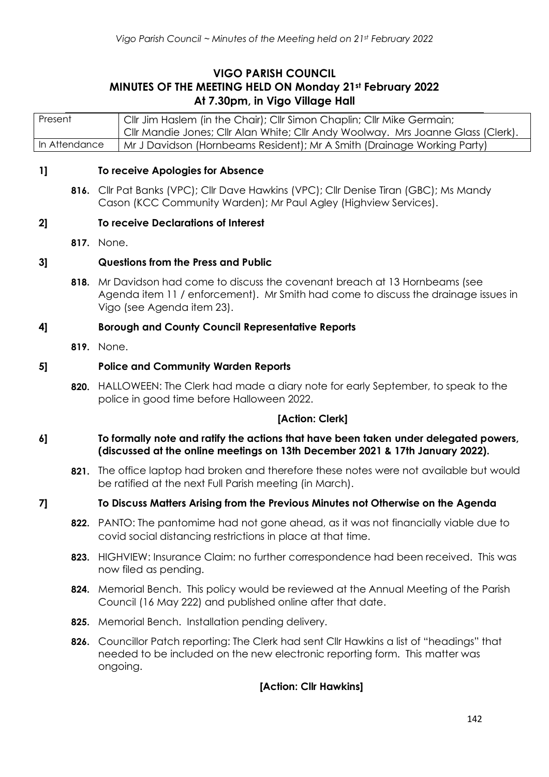# **VIGO PARISH COUNCIL MINUTES OF THE MEETING HELD ON Monday 21st February 2022 At 7.30pm, in Vigo Village Hall**

Present Cllr Jim Haslem (in the Chair); Cllr Simon Chaplin; Cllr Mike Germain; Cllr Mandie Jones; Cllr Alan White; Cllr Andy Woolway. Mrs Joanne Glass (Clerk). In Attendance | Mr J Davidson (Hornbeams Resident); Mr A Smith (Drainage Working Party)

#### **1] To receive Apologies for Absence**

**816.** Cllr Pat Banks (VPC); Cllr Dave Hawkins (VPC); Cllr Denise Tiran (GBC); Ms Mandy Cason (KCC Community Warden); Mr Paul Agley (Highview Services).

#### **2] To receive Declarations of Interest**

**817.** None.

#### **3] Questions from the Press and Public**

**818.** Mr Davidson had come to discuss the covenant breach at 13 Hornbeams (see Agenda item 11 / enforcement). Mr Smith had come to discuss the drainage issues in Vigo (see Agenda item 23).

#### **4] Borough and County Council Representative Reports**

**819.** None.

#### **5] Police and Community Warden Reports**

**820.** HALLOWEEN: The Clerk had made a diary note for early September, to speak to the police in good time before Halloween 2022.

#### **[Action: Clerk]**

#### **6] To formally note and ratify the actions that have been taken under delegated powers, (discussed at the online meetings on 13th December 2021 & 17th January 2022).**

**821.** The office laptop had broken and therefore these notes were not available but would be ratified at the next Full Parish meeting (in March).

#### **7] To Discuss Matters Arising from the Previous Minutes not Otherwise on the Agenda**

- **822.** PANTO: The pantomime had not gone ahead, as it was not financially viable due to covid social distancing restrictions in place at that time.
- **823.** HIGHVIEW: Insurance Claim: no further correspondence had been received. This was now filed as pending.
- **824.** Memorial Bench. This policy would be reviewed at the Annual Meeting of the Parish Council (16 May 222) and published online after that date.
- **825.** Memorial Bench. Installation pending delivery.
- **826.** Councillor Patch reporting: The Clerk had sent Cllr Hawkins a list of "headings" that needed to be included on the new electronic reporting form. This matter was ongoing.

#### **[Action: Cllr Hawkins]**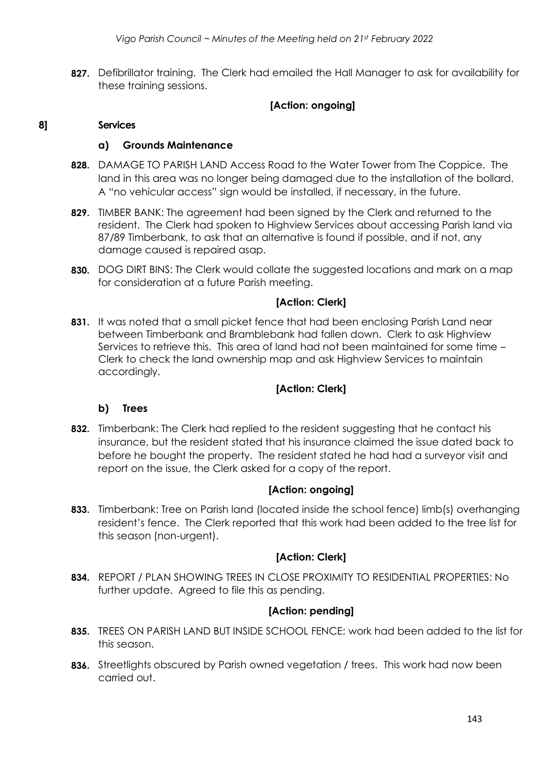**827.** Defibrillator training. The Clerk had emailed the Hall Manager to ask for availability for these training sessions.

## **[Action: ongoing]**

#### **8] Services**

#### **a) Grounds Maintenance**

- **828.** DAMAGE TO PARISH LAND Access Road to the Water Tower from The Coppice. The land in this area was no longer being damaged due to the installation of the bollard. A "no vehicular access" sign would be installed, if necessary, in the future.
- **829.** TIMBER BANK: The agreement had been signed by the Clerk and returned to the resident. The Clerk had spoken to Highview Services about accessing Parish land via 87/89 Timberbank, to ask that an alternative is found if possible, and if not, any damage caused is repaired asap.
- **830.** DOG DIRT BINS: The Clerk would collate the suggested locations and mark on a map for consideration at a future Parish meeting.

## **[Action: Clerk]**

**831.** It was noted that a small picket fence that had been enclosing Parish Land near between Timberbank and Bramblebank had fallen down. Clerk to ask Highview Services to retrieve this. This area of land had not been maintained for some time – Clerk to check the land ownership map and ask Highview Services to maintain accordingly.

## **[Action: Clerk]**

## **b) Trees**

**832.** Timberbank: The Clerk had replied to the resident suggesting that he contact his insurance, but the resident stated that his insurance claimed the issue dated back to before he bought the property. The resident stated he had had a surveyor visit and report on the issue, the Clerk asked for a copy of the report.

## **[Action: ongoing]**

**833.** Timberbank: Tree on Parish land (located inside the school fence) limb(s) overhanging resident's fence. The Clerk reported that this work had been added to the tree list for this season (non-urgent).

## **[Action: Clerk]**

**834.** REPORT / PLAN SHOWING TREES IN CLOSE PROXIMITY TO RESIDENTIAL PROPERTIES: No further update. Agreed to file this as pending.

## **[Action: pending]**

- **835.** TREES ON PARISH LAND BUT INSIDE SCHOOL FENCE: work had been added to the list for this season.
- **836.** Streetlights obscured by Parish owned vegetation / trees. This work had now been carried out.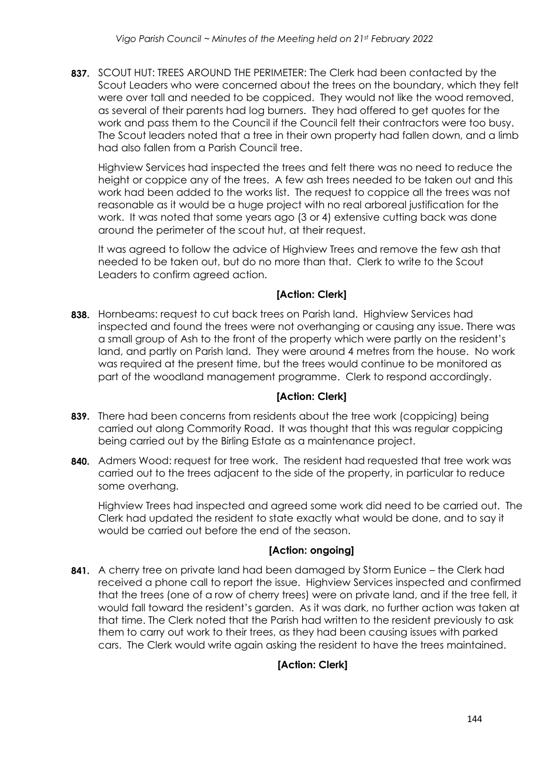**837.** SCOUT HUT: TREES AROUND THE PERIMETER: The Clerk had been contacted by the Scout Leaders who were concerned about the trees on the boundary, which they felt were over tall and needed to be coppiced. They would not like the wood removed, as several of their parents had log burners. They had offered to get quotes for the work and pass them to the Council if the Council felt their contractors were too busy. The Scout leaders noted that a tree in their own property had fallen down, and a limb had also fallen from a Parish Council tree.

Highview Services had inspected the trees and felt there was no need to reduce the height or coppice any of the trees. A few ash trees needed to be taken out and this work had been added to the works list. The request to coppice all the trees was not reasonable as it would be a huge project with no real arboreal justification for the work. It was noted that some years ago (3 or 4) extensive cutting back was done around the perimeter of the scout hut, at their request.

It was agreed to follow the advice of Highview Trees and remove the few ash that needed to be taken out, but do no more than that. Clerk to write to the Scout Leaders to confirm agreed action.

# **[Action: Clerk]**

**838.** Hornbeams: request to cut back trees on Parish land. Highview Services had inspected and found the trees were not overhanging or causing any issue. There was a small group of Ash to the front of the property which were partly on the resident's land, and partly on Parish land. They were around 4 metres from the house. No work was required at the present time, but the trees would continue to be monitored as part of the woodland management programme. Clerk to respond accordingly.

# **[Action: Clerk]**

- **839.** There had been concerns from residents about the tree work (coppicing) being carried out along Commority Road. It was thought that this was regular coppicing being carried out by the Birling Estate as a maintenance project.
- **840.** Admers Wood: request for tree work. The resident had requested that tree work was carried out to the trees adjacent to the side of the property, in particular to reduce some overhang.

Highview Trees had inspected and agreed some work did need to be carried out. The Clerk had updated the resident to state exactly what would be done, and to say it would be carried out before the end of the season.

# **[Action: ongoing]**

**841.** A cherry tree on private land had been damaged by Storm Eunice – the Clerk had received a phone call to report the issue. Highview Services inspected and confirmed that the trees (one of a row of cherry trees) were on private land, and if the tree fell, it would fall toward the resident's garden. As it was dark, no further action was taken at that time. The Clerk noted that the Parish had written to the resident previously to ask them to carry out work to their trees, as they had been causing issues with parked cars. The Clerk would write again asking the resident to have the trees maintained.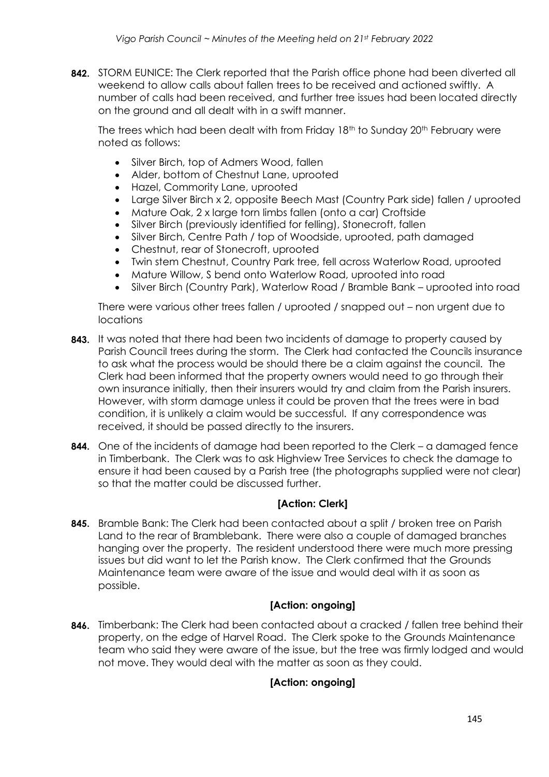**842.** STORM EUNICE: The Clerk reported that the Parish office phone had been diverted all weekend to allow calls about fallen trees to be received and actioned swiftly. A number of calls had been received, and further tree issues had been located directly on the ground and all dealt with in a swift manner.

The trees which had been dealt with from Friday 18<sup>th</sup> to Sunday 20<sup>th</sup> February were noted as follows:

- Silver Birch, top of Admers Wood, fallen
- Alder, bottom of Chestnut Lane, uprooted
- Hazel, Commority Lane, uprooted
- Large Silver Birch x 2, opposite Beech Mast (Country Park side) fallen / uprooted
- Mature Oak, 2 x large torn limbs fallen (onto a car) Croftside
- Silver Birch (previously identified for felling), Stonecroft, fallen
- Silver Birch, Centre Path / top of Woodside, uprooted, path damaged
- Chestnut, rear of Stonecroft, uprooted
- Twin stem Chestnut, Country Park tree, fell across Waterlow Road, uprooted
- Mature Willow, S bend onto Waterlow Road, uprooted into road
- Silver Birch (Country Park), Waterlow Road / Bramble Bank uprooted into road

There were various other trees fallen / uprooted / snapped out – non urgent due to locations

- **843.** It was noted that there had been two incidents of damage to property caused by Parish Council trees during the storm. The Clerk had contacted the Councils insurance to ask what the process would be should there be a claim against the council. The Clerk had been informed that the property owners would need to go through their own insurance initially, then their insurers would try and claim from the Parish insurers. However, with storm damage unless it could be proven that the trees were in bad condition, it is unlikely a claim would be successful. If any correspondence was received, it should be passed directly to the insurers.
- **844.** One of the incidents of damage had been reported to the Clerk a damaged fence in Timberbank. The Clerk was to ask Highview Tree Services to check the damage to ensure it had been caused by a Parish tree (the photographs supplied were not clear) so that the matter could be discussed further.

## **[Action: Clerk]**

**845.** Bramble Bank: The Clerk had been contacted about a split / broken tree on Parish Land to the rear of Bramblebank. There were also a couple of damaged branches hanging over the property. The resident understood there were much more pressing issues but did want to let the Parish know. The Clerk confirmed that the Grounds Maintenance team were aware of the issue and would deal with it as soon as possible.

## **[Action: ongoing]**

**846.** Timberbank: The Clerk had been contacted about a cracked / fallen tree behind their property, on the edge of Harvel Road. The Clerk spoke to the Grounds Maintenance team who said they were aware of the issue, but the tree was firmly lodged and would not move. They would deal with the matter as soon as they could.

# **[Action: ongoing]**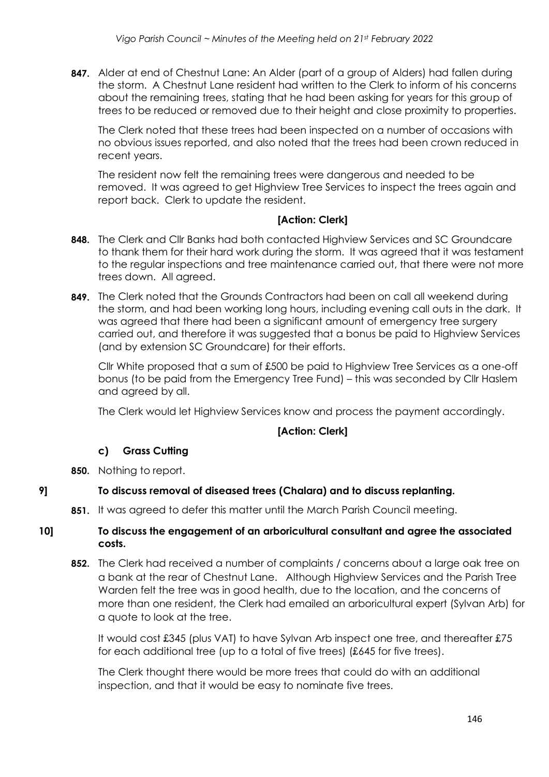**847.** Alder at end of Chestnut Lane: An Alder (part of a group of Alders) had fallen during the storm. A Chestnut Lane resident had written to the Clerk to inform of his concerns about the remaining trees, stating that he had been asking for years for this group of trees to be reduced or removed due to their height and close proximity to properties.

The Clerk noted that these trees had been inspected on a number of occasions with no obvious issues reported, and also noted that the trees had been crown reduced in recent years.

The resident now felt the remaining trees were dangerous and needed to be removed. It was agreed to get Highview Tree Services to inspect the trees again and report back. Clerk to update the resident.

## **[Action: Clerk]**

- **848.** The Clerk and Cllr Banks had both contacted Highview Services and SC Groundcare to thank them for their hard work during the storm. It was agreed that it was testament to the regular inspections and tree maintenance carried out, that there were not more trees down. All agreed.
- **849.** The Clerk noted that the Grounds Contractors had been on call all weekend during the storm, and had been working long hours, including evening call outs in the dark. It was agreed that there had been a significant amount of emergency tree surgery carried out, and therefore it was suggested that a bonus be paid to Highview Services (and by extension SC Groundcare) for their efforts.

Cllr White proposed that a sum of £500 be paid to Highview Tree Services as a one-off bonus (to be paid from the Emergency Tree Fund) – this was seconded by Cllr Haslem and agreed by all.

The Clerk would let Highview Services know and process the payment accordingly.

## **[Action: Clerk]**

## **c) Grass Cutting**

**850.** Nothing to report.

## **9] To discuss removal of diseased trees (Chalara) and to discuss replanting.**

**851.** It was agreed to defer this matter until the March Parish Council meeting.

## **10] To discuss the engagement of an arboricultural consultant and agree the associated costs.**

**852.** The Clerk had received a number of complaints / concerns about a large oak tree on a bank at the rear of Chestnut Lane. Although Highview Services and the Parish Tree Warden felt the tree was in good health, due to the location, and the concerns of more than one resident, the Clerk had emailed an arboricultural expert (Sylvan Arb) for a quote to look at the tree.

It would cost £345 (plus VAT) to have Sylvan Arb inspect one tree, and thereafter £75 for each additional tree (up to a total of five trees) (£645 for five trees).

The Clerk thought there would be more trees that could do with an additional inspection, and that it would be easy to nominate five trees.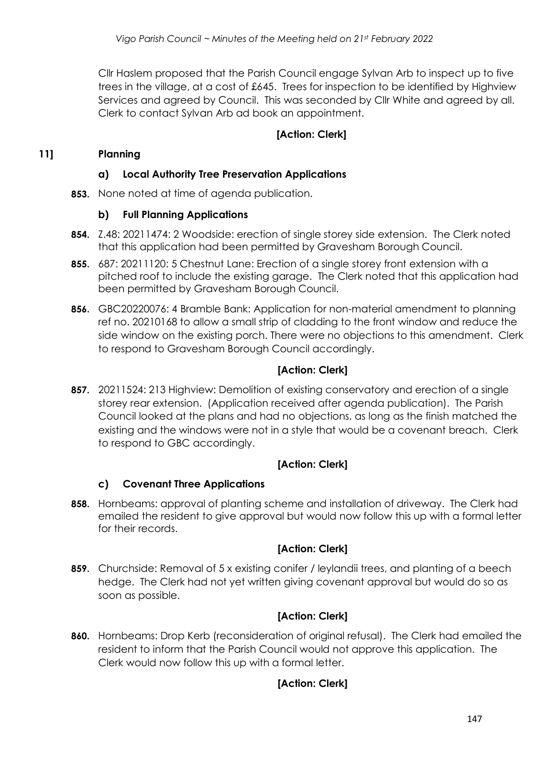Cllr Haslem proposed that the Parish Council engage Sylvan Arb to inspect up to five trees in the village, at a cost of £645. Trees for inspection to be identified by Highview Services and agreed by Council. This was seconded by Cllr White and agreed by all. Clerk to contact Sylvan Arb ad book an appointment.

## **[Action: Clerk]**

## **11] Planning**

## **a) Local Authority Tree Preservation Applications**

**853.** None noted at time of agenda publication.

#### **b) Full Planning Applications**

- **854.** Z.48: 20211474: 2 Woodside: erection of single storey side extension. The Clerk noted that this application had been permitted by Gravesham Borough Council.
- **855.** 687: 20211120: 5 Chestnut Lane: Erection of a single storey front extension with a pitched roof to include the existing garage. The Clerk noted that this application had been permitted by Gravesham Borough Council.
- **856.** GBC20220076: 4 Bramble Bank: Application for non-material amendment to planning ref no. 20210168 to allow a small strip of cladding to the front window and reduce the side window on the existing porch. There were no objections to this amendment. Clerk to respond to Gravesham Borough Council accordingly.

## **[Action: Clerk]**

**857.** 20211524: 213 Highview: Demolition of existing conservatory and erection of a single storey rear extension. (Application received after agenda publication). The Parish Council looked at the plans and had no objections, as long as the finish matched the existing and the windows were not in a style that would be a covenant breach. Clerk to respond to GBC accordingly.

## **[Action: Clerk]**

## **c) Covenant Three Applications**

**858.** Hornbeams: approval of planting scheme and installation of driveway. The Clerk had emailed the resident to give approval but would now follow this up with a formal letter for their records.

# **[Action: Clerk]**

**859.** Churchside: Removal of 5 x existing conifer / leylandii trees, and planting of a beech hedge. The Clerk had not yet written giving covenant approval but would do so as soon as possible.

# **[Action: Clerk]**

**860.** Hornbeams: Drop Kerb (reconsideration of original refusal). The Clerk had emailed the resident to inform that the Parish Council would not approve this application. The Clerk would now follow this up with a formal letter.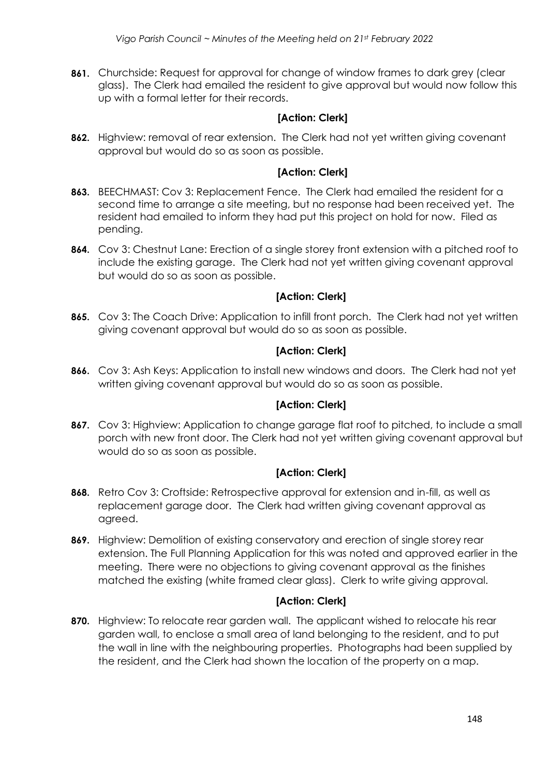**861.** Churchside: Request for approval for change of window frames to dark grey (clear glass). The Clerk had emailed the resident to give approval but would now follow this up with a formal letter for their records.

# **[Action: Clerk]**

**862.** Highview: removal of rear extension. The Clerk had not yet written giving covenant approval but would do so as soon as possible.

## **[Action: Clerk]**

- **863.** BEECHMAST: Cov 3: Replacement Fence. The Clerk had emailed the resident for a second time to arrange a site meeting, but no response had been received yet. The resident had emailed to inform they had put this project on hold for now. Filed as pending.
- **864.** Cov 3: Chestnut Lane: Erection of a single storey front extension with a pitched roof to include the existing garage. The Clerk had not yet written giving covenant approval but would do so as soon as possible.

## **[Action: Clerk]**

**865.** Cov 3: The Coach Drive: Application to infill front porch. The Clerk had not yet written giving covenant approval but would do so as soon as possible.

## **[Action: Clerk]**

**866.** Cov 3: Ash Keys: Application to install new windows and doors. The Clerk had not yet written giving covenant approval but would do so as soon as possible.

## **[Action: Clerk]**

**867.** Cov 3: Highview: Application to change garage flat roof to pitched, to include a small porch with new front door. The Clerk had not yet written giving covenant approval but would do so as soon as possible.

# **[Action: Clerk]**

- **868.** Retro Cov 3: Croftside: Retrospective approval for extension and in-fill, as well as replacement garage door. The Clerk had written giving covenant approval as agreed.
- **869.** Highview: Demolition of existing conservatory and erection of single storey rear extension. The Full Planning Application for this was noted and approved earlier in the meeting. There were no objections to giving covenant approval as the finishes matched the existing (white framed clear glass). Clerk to write giving approval.

# **[Action: Clerk]**

**870.** Highview: To relocate rear garden wall. The applicant wished to relocate his rear garden wall, to enclose a small area of land belonging to the resident, and to put the wall in line with the neighbouring properties. Photographs had been supplied by the resident, and the Clerk had shown the location of the property on a map.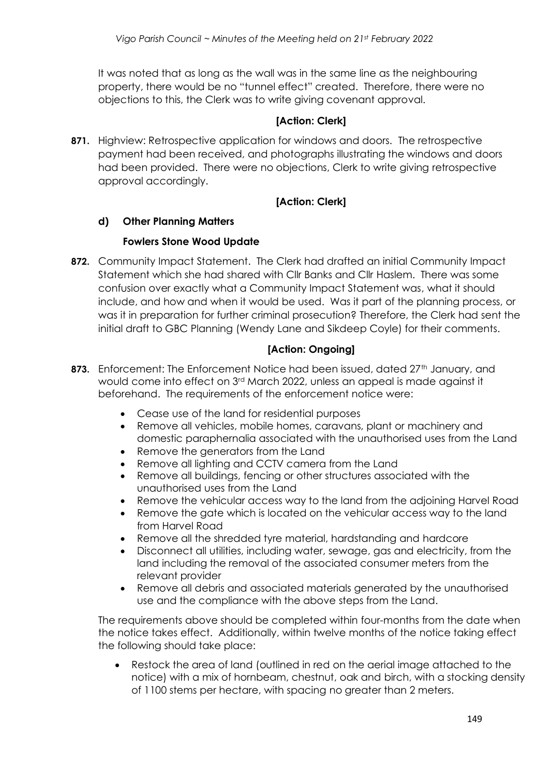It was noted that as long as the wall was in the same line as the neighbouring property, there would be no "tunnel effect" created. Therefore, there were no objections to this, the Clerk was to write giving covenant approval.

## **[Action: Clerk]**

**871.** Highview: Retrospective application for windows and doors. The retrospective payment had been received, and photographs illustrating the windows and doors had been provided. There were no objections, Clerk to write giving retrospective approval accordingly.

## **[Action: Clerk]**

## **d) Other Planning Matters**

## **Fowlers Stone Wood Update**

**872.** Community Impact Statement. The Clerk had drafted an initial Community Impact Statement which she had shared with Cllr Banks and Cllr Haslem. There was some confusion over exactly what a Community Impact Statement was, what it should include, and how and when it would be used. Was it part of the planning process, or was it in preparation for further criminal prosecution? Therefore, the Clerk had sent the initial draft to GBC Planning (Wendy Lane and Sikdeep Coyle) for their comments.

## **[Action: Ongoing]**

- 873. Enforcement: The Enforcement Notice had been issued, dated 27<sup>th</sup> January, and would come into effect on 3rd March 2022, unless an appeal is made against it beforehand. The requirements of the enforcement notice were:
	- Cease use of the land for residential purposes
	- Remove all vehicles, mobile homes, caravans, plant or machinery and domestic paraphernalia associated with the unauthorised uses from the Land
	- Remove the generators from the Land
	- Remove all lighting and CCTV camera from the Land
	- Remove all buildings, fencing or other structures associated with the unauthorised uses from the Land
	- Remove the vehicular access way to the land from the adjoining Harvel Road
	- Remove the gate which is located on the vehicular access way to the land from Harvel Road
	- Remove all the shredded tyre material, hardstanding and hardcore
	- Disconnect all utilities, including water, sewage, gas and electricity, from the land including the removal of the associated consumer meters from the relevant provider
	- Remove all debris and associated materials generated by the unauthorised use and the compliance with the above steps from the Land.

The requirements above should be completed within four-months from the date when the notice takes effect. Additionally, within twelve months of the notice taking effect the following should take place:

• Restock the area of land (outlined in red on the aerial image attached to the notice) with a mix of hornbeam, chestnut, oak and birch, with a stocking density of 1100 stems per hectare, with spacing no greater than 2 meters.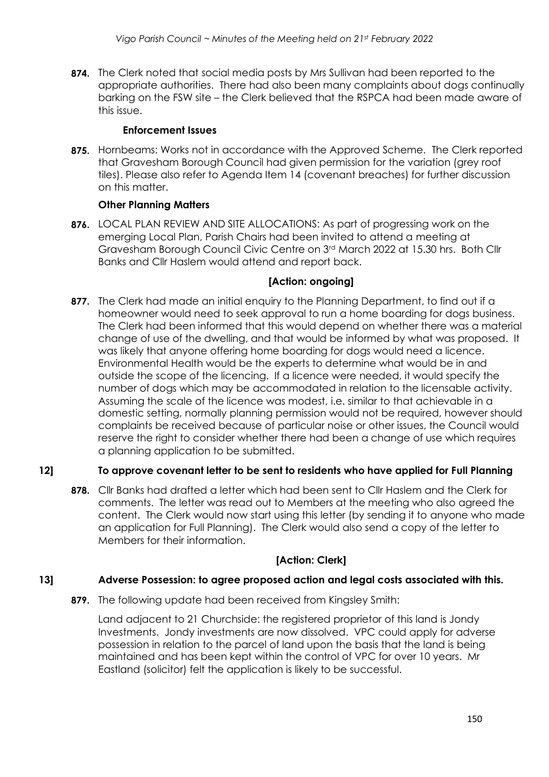**874.** The Clerk noted that social media posts by Mrs Sullivan had been reported to the appropriate authorities. There had also been many complaints about dogs continually barking on the FSW site – the Clerk believed that the RSPCA had been made aware of this issue.

#### **Enforcement Issues**

**875.** Hornbeams: Works not in accordance with the Approved Scheme. The Clerk reported that Gravesham Borough Council had given permission for the variation (grey roof tiles). Please also refer to Agenda Item 14 (covenant breaches) for further discussion on this matter.

## **Other Planning Matters**

**876.** LOCAL PLAN REVIEW AND SITE ALLOCATIONS: As part of progressing work on the emerging Local Plan, Parish Chairs had been invited to attend a meeting at Gravesham Borough Council Civic Centre on 3rd March 2022 at 15.30 hrs. Both Cllr Banks and Cllr Haslem would attend and report back.

## **[Action: ongoing]**

**877.** The Clerk had made an initial enquiry to the Planning Department, to find out if a homeowner would need to seek approval to run a home boarding for dogs business. The Clerk had been informed that this would depend on whether there was a material change of use of the dwelling, and that would be informed by what was proposed. It was likely that anyone offering home boarding for dogs would need a licence. Environmental Health would be the experts to determine what would be in and outside the scope of the licencing. If a licence were needed, it would specify the number of dogs which may be accommodated in relation to the licensable activity. Assuming the scale of the licence was modest, i.e. similar to that achievable in a domestic setting, normally planning permission would not be required, however should complaints be received because of particular noise or other issues, the Council would reserve the right to consider whether there had been a change of use which requires a planning application to be submitted.

## **12] To approve covenant letter to be sent to residents who have applied for Full Planning**

**878.** Cllr Banks had drafted a letter which had been sent to Cllr Haslem and the Clerk for comments. The letter was read out to Members at the meeting who also agreed the content. The Clerk would now start using this letter (by sending it to anyone who made an application for Full Planning). The Clerk would also send a copy of the letter to Members for their information.

## **[Action: Clerk]**

## **13] Adverse Possession: to agree proposed action and legal costs associated with this.**

**879.** The following update had been received from Kingsley Smith:

Land adjacent to 21 Churchside: the registered proprietor of this land is Jondy Investments. Jondy investments are now dissolved. VPC could apply for adverse possession in relation to the parcel of land upon the basis that the land is being maintained and has been kept within the control of VPC for over 10 years. Mr Eastland (solicitor) felt the application is likely to be successful.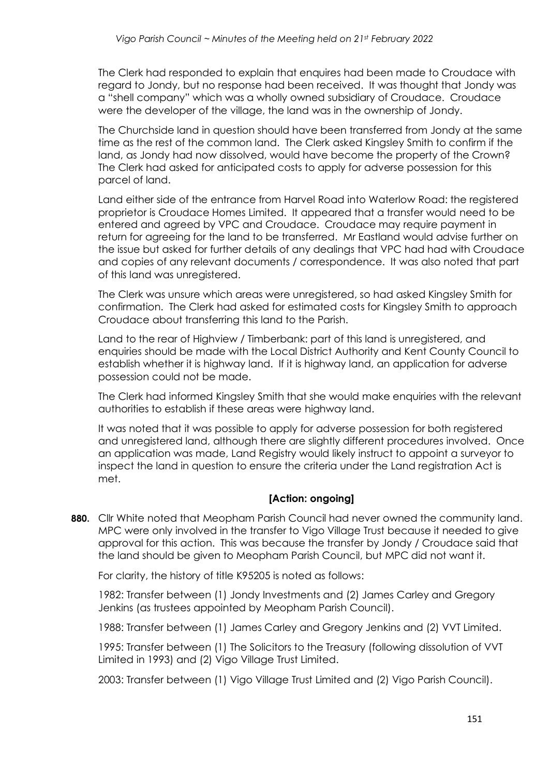The Clerk had responded to explain that enquires had been made to Croudace with regard to Jondy, but no response had been received. It was thought that Jondy was a "shell company" which was a wholly owned subsidiary of Croudace. Croudace were the developer of the village, the land was in the ownership of Jondy.

The Churchside land in question should have been transferred from Jondy at the same time as the rest of the common land. The Clerk asked Kingsley Smith to confirm if the land, as Jondy had now dissolved, would have become the property of the Crown? The Clerk had asked for anticipated costs to apply for adverse possession for this parcel of land.

Land either side of the entrance from Harvel Road into Waterlow Road: the registered proprietor is Croudace Homes Limited. It appeared that a transfer would need to be entered and agreed by VPC and Croudace. Croudace may require payment in return for agreeing for the land to be transferred. Mr Eastland would advise further on the issue but asked for further details of any dealings that VPC had had with Croudace and copies of any relevant documents / correspondence. It was also noted that part of this land was unregistered.

The Clerk was unsure which areas were unregistered, so had asked Kingsley Smith for confirmation. The Clerk had asked for estimated costs for Kingsley Smith to approach Croudace about transferring this land to the Parish.

Land to the rear of Highview / Timberbank: part of this land is unregistered, and enquiries should be made with the Local District Authority and Kent County Council to establish whether it is highway land. If it is highway land, an application for adverse possession could not be made.

The Clerk had informed Kingsley Smith that she would make enquiries with the relevant authorities to establish if these areas were highway land.

It was noted that it was possible to apply for adverse possession for both registered and unregistered land, although there are slightly different procedures involved. Once an application was made, Land Registry would likely instruct to appoint a surveyor to inspect the land in question to ensure the criteria under the Land registration Act is met.

## **[Action: ongoing]**

**880.** Cllr White noted that Meopham Parish Council had never owned the community land. MPC were only involved in the transfer to Vigo Village Trust because it needed to give approval for this action. This was because the transfer by Jondy / Croudace said that the land should be given to Meopham Parish Council, but MPC did not want it.

For clarity, the history of title K95205 is noted as follows:

1982: Transfer between (1) Jondy Investments and (2) James Carley and Gregory Jenkins (as trustees appointed by Meopham Parish Council).

1988: Transfer between (1) James Carley and Gregory Jenkins and (2) VVT Limited.

1995: Transfer between (1) The Solicitors to the Treasury (following dissolution of VVT Limited in 1993) and (2) Vigo Village Trust Limited.

2003: Transfer between (1) Vigo Village Trust Limited and (2) Vigo Parish Council).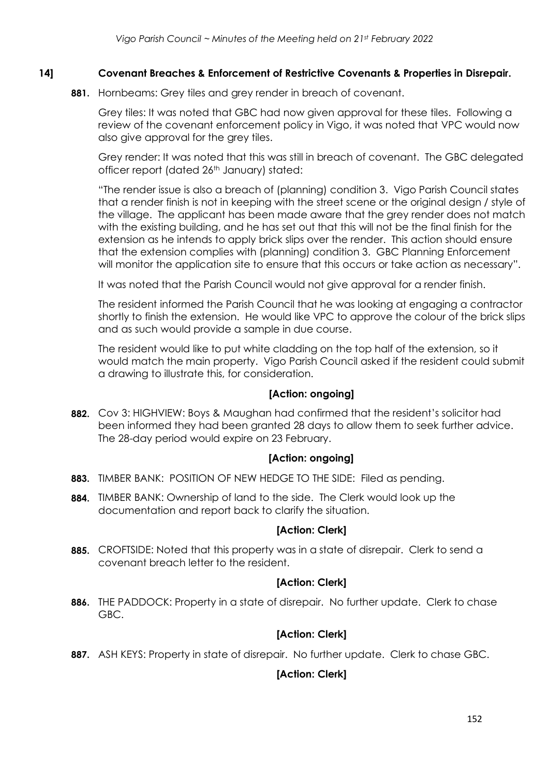## **14] Covenant Breaches & Enforcement of Restrictive Covenants & Properties in Disrepair.**

**881.** Hornbeams: Grey tiles and grey render in breach of covenant.

Grey tiles: It was noted that GBC had now given approval for these tiles. Following a review of the covenant enforcement policy in Vigo, it was noted that VPC would now also give approval for the grey tiles.

Grey render: It was noted that this was still in breach of covenant. The GBC delegated officer report (dated 26<sup>th</sup> January) stated:

"The render issue is also a breach of (planning) condition 3. Vigo Parish Council states that a render finish is not in keeping with the street scene or the original design / style of the village. The applicant has been made aware that the grey render does not match with the existing building, and he has set out that this will not be the final finish for the extension as he intends to apply brick slips over the render. This action should ensure that the extension complies with (planning) condition 3. GBC Planning Enforcement will monitor the application site to ensure that this occurs or take action as necessary".

It was noted that the Parish Council would not give approval for a render finish.

The resident informed the Parish Council that he was looking at engaging a contractor shortly to finish the extension. He would like VPC to approve the colour of the brick slips and as such would provide a sample in due course.

The resident would like to put white cladding on the top half of the extension, so it would match the main property. Vigo Parish Council asked if the resident could submit a drawing to illustrate this, for consideration.

#### **[Action: ongoing]**

**882.** Cov 3: HIGHVIEW: Boys & Maughan had confirmed that the resident's solicitor had been informed they had been granted 28 days to allow them to seek further advice. The 28-day period would expire on 23 February.

## **[Action: ongoing]**

- **883.** TIMBER BANK: POSITION OF NEW HEDGE TO THE SIDE: Filed as pending.
- **884.** TIMBER BANK: Ownership of land to the side. The Clerk would look up the documentation and report back to clarify the situation.

## **[Action: Clerk]**

**885.** CROFTSIDE: Noted that this property was in a state of disrepair. Clerk to send a covenant breach letter to the resident.

## **[Action: Clerk]**

**886.** THE PADDOCK: Property in a state of disrepair. No further update. Clerk to chase GBC.

## **[Action: Clerk]**

**887.** ASH KEYS: Property in state of disrepair. No further update. Clerk to chase GBC.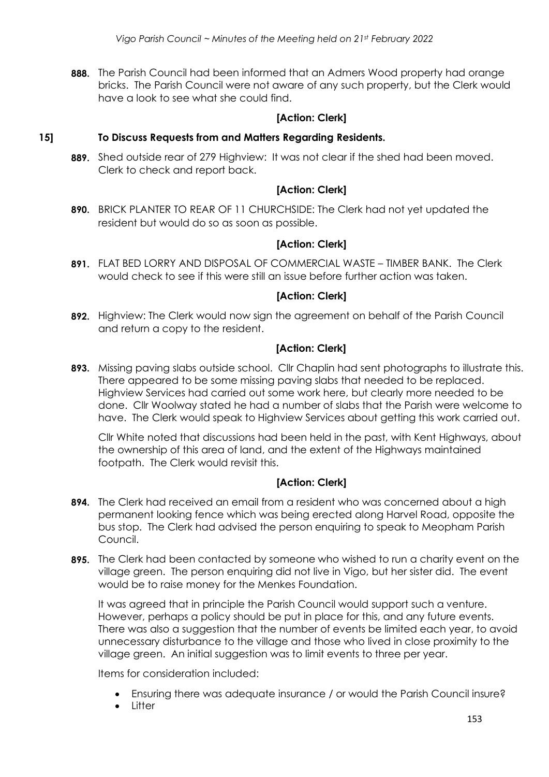**888.** The Parish Council had been informed that an Admers Wood property had orange bricks. The Parish Council were not aware of any such property, but the Clerk would have a look to see what she could find.

## **[Action: Clerk]**

#### **15] To Discuss Requests from and Matters Regarding Residents.**

**889.** Shed outside rear of 279 Highview: It was not clear if the shed had been moved. Clerk to check and report back.

## **[Action: Clerk]**

**890.** BRICK PLANTER TO REAR OF 11 CHURCHSIDE: The Clerk had not yet updated the resident but would do so as soon as possible.

## **[Action: Clerk]**

**891.** FLAT BED LORRY AND DISPOSAL OF COMMERCIAL WASTE – TIMBER BANK. The Clerk would check to see if this were still an issue before further action was taken.

## **[Action: Clerk]**

**892.** Highview: The Clerk would now sign the agreement on behalf of the Parish Council and return a copy to the resident.

## **[Action: Clerk]**

**893.** Missing paving slabs outside school. Cllr Chaplin had sent photographs to illustrate this. There appeared to be some missing paving slabs that needed to be replaced. Highview Services had carried out some work here, but clearly more needed to be done. Cllr Woolway stated he had a number of slabs that the Parish were welcome to have. The Clerk would speak to Highview Services about getting this work carried out.

Cllr White noted that discussions had been held in the past, with Kent Highways, about the ownership of this area of land, and the extent of the Highways maintained footpath. The Clerk would revisit this.

## **[Action: Clerk]**

- **894.** The Clerk had received an email from a resident who was concerned about a high permanent looking fence which was being erected along Harvel Road, opposite the bus stop. The Clerk had advised the person enquiring to speak to Meopham Parish Council.
- **895.** The Clerk had been contacted by someone who wished to run a charity event on the village green. The person enquiring did not live in Vigo, but her sister did. The event would be to raise money for the Menkes Foundation.

It was agreed that in principle the Parish Council would support such a venture. However, perhaps a policy should be put in place for this, and any future events. There was also a suggestion that the number of events be limited each year, to avoid unnecessary disturbance to the village and those who lived in close proximity to the village green. An initial suggestion was to limit events to three per year.

Items for consideration included:

- Ensuring there was adequate insurance / or would the Parish Council insure?
- **Litter**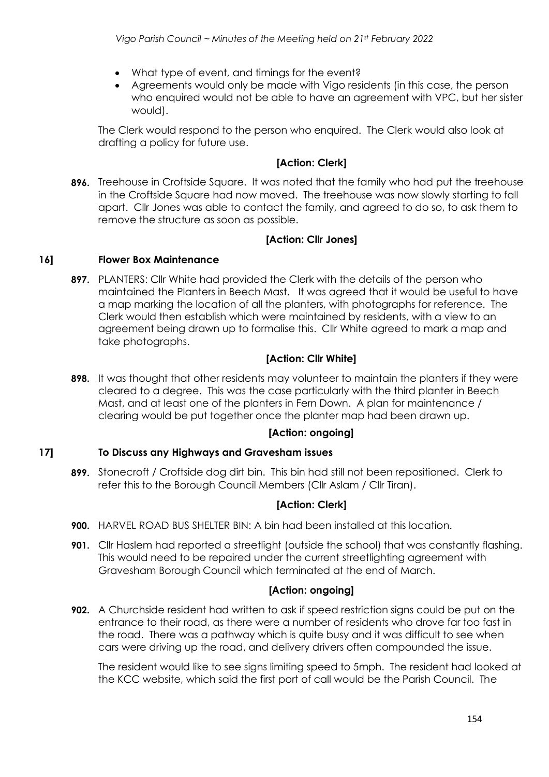- What type of event, and timings for the event?
- Agreements would only be made with Vigo residents (in this case, the person who enquired would not be able to have an agreement with VPC, but her sister would).

The Clerk would respond to the person who enquired. The Clerk would also look at drafting a policy for future use.

## **[Action: Clerk]**

**896.** Treehouse in Croftside Square. It was noted that the family who had put the treehouse in the Croftside Square had now moved. The treehouse was now slowly starting to fall apart. Cllr Jones was able to contact the family, and agreed to do so, to ask them to remove the structure as soon as possible.

## **[Action: Cllr Jones]**

#### **16] Flower Box Maintenance**

**897.** PLANTERS: Cllr White had provided the Clerk with the details of the person who maintained the Planters in Beech Mast. It was agreed that it would be useful to have a map marking the location of all the planters, with photographs for reference. The Clerk would then establish which were maintained by residents, with a view to an agreement being drawn up to formalise this. Cllr White agreed to mark a map and take photographs.

## **[Action: Cllr White]**

**898.** It was thought that other residents may volunteer to maintain the planters if they were cleared to a degree. This was the case particularly with the third planter in Beech Mast, and at least one of the planters in Fern Down. A plan for maintenance / clearing would be put together once the planter map had been drawn up.

## **[Action: ongoing]**

## **17] To Discuss any Highways and Gravesham issues**

**899.** Stonecroft / Croftside dog dirt bin. This bin had still not been repositioned. Clerk to refer this to the Borough Council Members (Cllr Aslam / Cllr Tiran).

## **[Action: Clerk]**

- **900.** HARVEL ROAD BUS SHELTER BIN: A bin had been installed at this location.
- **901.** Cllr Haslem had reported a streetlight (outside the school) that was constantly flashing. This would need to be repaired under the current streetlighting agreement with Gravesham Borough Council which terminated at the end of March.

## **[Action: ongoing]**

**902.** A Churchside resident had written to ask if speed restriction signs could be put on the entrance to their road, as there were a number of residents who drove far too fast in the road. There was a pathway which is quite busy and it was difficult to see when cars were driving up the road, and delivery drivers often compounded the issue.

The resident would like to see signs limiting speed to 5mph. The resident had looked at the KCC website, which said the first port of call would be the Parish Council. The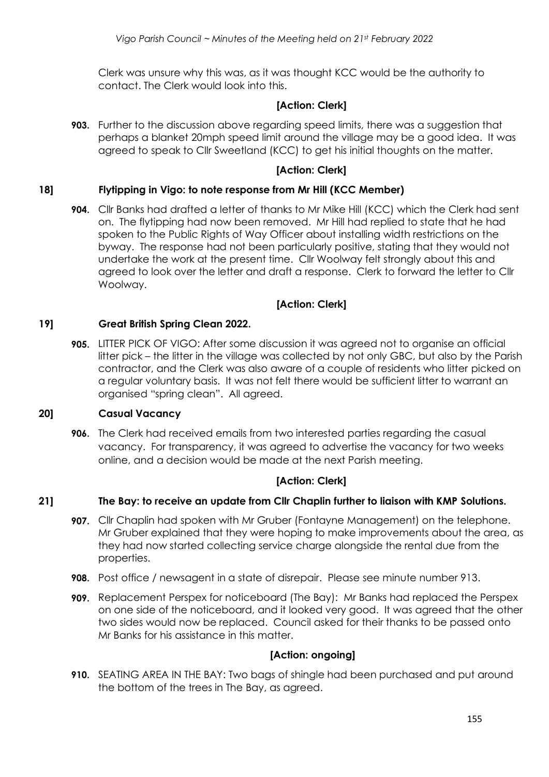Clerk was unsure why this was, as it was thought KCC would be the authority to contact. The Clerk would look into this.

#### **[Action: Clerk]**

**903.** Further to the discussion above regarding speed limits, there was a suggestion that perhaps a blanket 20mph speed limit around the village may be a good idea. It was agreed to speak to Cllr Sweetland (KCC) to get his initial thoughts on the matter.

#### **[Action: Clerk]**

#### **18] Flytipping in Vigo: to note response from Mr Hill (KCC Member)**

**904.** Cllr Banks had drafted a letter of thanks to Mr Mike Hill (KCC) which the Clerk had sent on. The flytipping had now been removed. Mr Hill had replied to state that he had spoken to the Public Rights of Way Officer about installing width restrictions on the byway. The response had not been particularly positive, stating that they would not undertake the work at the present time. Cllr Woolway felt strongly about this and agreed to look over the letter and draft a response. Clerk to forward the letter to Cllr Woolway.

#### **[Action: Clerk]**

#### **19] Great British Spring Clean 2022.**

**905.** LITTER PICK OF VIGO: After some discussion it was agreed not to organise an official litter pick – the litter in the village was collected by not only GBC, but also by the Parish contractor, and the Clerk was also aware of a couple of residents who litter picked on a regular voluntary basis. It was not felt there would be sufficient litter to warrant an organised "spring clean". All agreed.

#### **20] Casual Vacancy**

**906.** The Clerk had received emails from two interested parties regarding the casual vacancy. For transparency, it was agreed to advertise the vacancy for two weeks online, and a decision would be made at the next Parish meeting.

## **[Action: Clerk]**

#### **21] The Bay: to receive an update from Cllr Chaplin further to liaison with KMP Solutions.**

- **907.** Cllr Chaplin had spoken with Mr Gruber (Fontayne Management) on the telephone. Mr Gruber explained that they were hoping to make improvements about the area, as they had now started collecting service charge alongside the rental due from the properties.
- **908.** Post office / newsagent in a state of disrepair. Please see minute number 913.
- **909.** Replacement Perspex for noticeboard (The Bay): Mr Banks had replaced the Perspex on one side of the noticeboard, and it looked very good. It was agreed that the other two sides would now be replaced. Council asked for their thanks to be passed onto Mr Banks for his assistance in this matter.

#### **[Action: ongoing]**

**910.** SEATING AREA IN THE BAY: Two bags of shingle had been purchased and put around the bottom of the trees in The Bay, as agreed.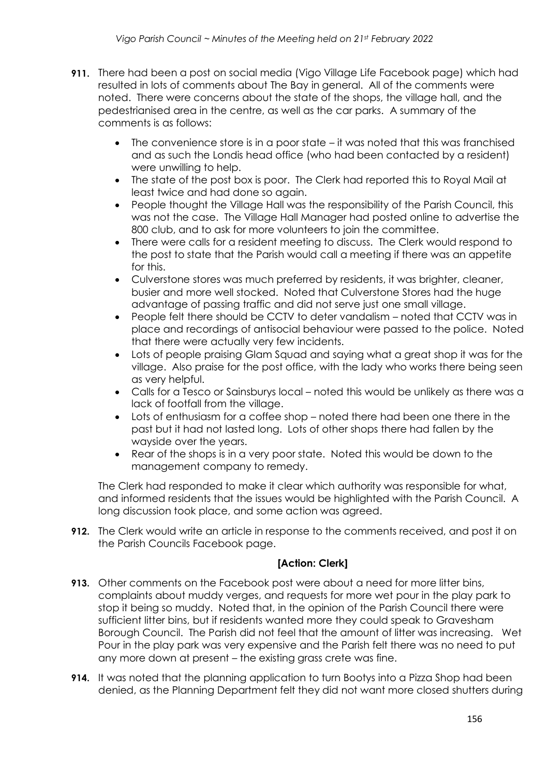- **911.** There had been a post on social media (Vigo Village Life Facebook page) which had resulted in lots of comments about The Bay in general. All of the comments were noted. There were concerns about the state of the shops, the village hall, and the pedestrianised area in the centre, as well as the car parks. A summary of the comments is as follows:
	- The convenience store is in a poor state it was noted that this was franchised and as such the Londis head office (who had been contacted by a resident) were unwilling to help.
	- The state of the post box is poor. The Clerk had reported this to Royal Mail at least twice and had done so again.
	- People thought the Village Hall was the responsibility of the Parish Council, this was not the case. The Village Hall Manager had posted online to advertise the 800 club, and to ask for more volunteers to join the committee.
	- There were calls for a resident meeting to discuss. The Clerk would respond to the post to state that the Parish would call a meeting if there was an appetite for this.
	- Culverstone stores was much preferred by residents, it was brighter, cleaner, busier and more well stocked. Noted that Culverstone Stores had the huge advantage of passing traffic and did not serve just one small village.
	- People felt there should be CCTV to deter vandalism noted that CCTV was in place and recordings of antisocial behaviour were passed to the police. Noted that there were actually very few incidents.
	- Lots of people praising Glam Squad and saying what a great shop it was for the village. Also praise for the post office, with the lady who works there being seen as very helpful.
	- Calls for a Tesco or Sainsburys local noted this would be unlikely as there was a lack of footfall from the village.
	- Lots of enthusiasm for a coffee shop noted there had been one there in the past but it had not lasted long. Lots of other shops there had fallen by the wayside over the years.
	- Rear of the shops is in a very poor state. Noted this would be down to the management company to remedy.

The Clerk had responded to make it clear which authority was responsible for what, and informed residents that the issues would be highlighted with the Parish Council. A long discussion took place, and some action was agreed.

**912.** The Clerk would write an article in response to the comments received, and post it on the Parish Councils Facebook page.

- **913.** Other comments on the Facebook post were about a need for more litter bins, complaints about muddy verges, and requests for more wet pour in the play park to stop it being so muddy. Noted that, in the opinion of the Parish Council there were sufficient litter bins, but if residents wanted more they could speak to Gravesham Borough Council. The Parish did not feel that the amount of litter was increasing. Wet Pour in the play park was very expensive and the Parish felt there was no need to put any more down at present – the existing grass crete was fine.
- **914.** It was noted that the planning application to turn Bootys into a Pizza Shop had been denied, as the Planning Department felt they did not want more closed shutters during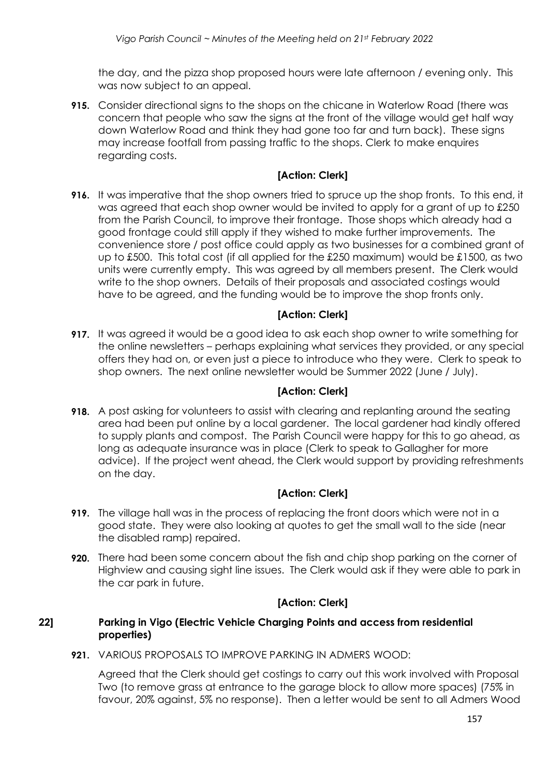the day, and the pizza shop proposed hours were late afternoon / evening only. This was now subject to an appeal.

**915.** Consider directional signs to the shops on the chicane in Waterlow Road (there was concern that people who saw the signs at the front of the village would get half way down Waterlow Road and think they had gone too far and turn back). These signs may increase footfall from passing traffic to the shops. Clerk to make enquires regarding costs.

## **[Action: Clerk]**

**916.** It was imperative that the shop owners tried to spruce up the shop fronts. To this end, it was agreed that each shop owner would be invited to apply for a grant of up to £250 from the Parish Council, to improve their frontage. Those shops which already had a good frontage could still apply if they wished to make further improvements. The convenience store / post office could apply as two businesses for a combined grant of up to £500. This total cost (if all applied for the £250 maximum) would be £1500, as two units were currently empty. This was agreed by all members present. The Clerk would write to the shop owners. Details of their proposals and associated costings would have to be agreed, and the funding would be to improve the shop fronts only.

## **[Action: Clerk]**

**917.** It was agreed it would be a good idea to ask each shop owner to write something for the online newsletters – perhaps explaining what services they provided, or any special offers they had on, or even just a piece to introduce who they were. Clerk to speak to shop owners. The next online newsletter would be Summer 2022 (June / July).

#### **[Action: Clerk]**

**918.** A post asking for volunteers to assist with clearing and replanting around the seating area had been put online by a local gardener. The local gardener had kindly offered to supply plants and compost. The Parish Council were happy for this to go ahead, as long as adequate insurance was in place (Clerk to speak to Gallagher for more advice). If the project went ahead, the Clerk would support by providing refreshments on the day.

#### **[Action: Clerk]**

- **919.** The village hall was in the process of replacing the front doors which were not in a good state. They were also looking at quotes to get the small wall to the side (near the disabled ramp) repaired.
- **920.** There had been some concern about the fish and chip shop parking on the corner of Highview and causing sight line issues. The Clerk would ask if they were able to park in the car park in future.

## **[Action: Clerk]**

#### **22] Parking in Vigo (Electric Vehicle Charging Points and access from residential properties)**

**921.** VARIOUS PROPOSALS TO IMPROVE PARKING IN ADMERS WOOD:

Agreed that the Clerk should get costings to carry out this work involved with Proposal Two (to remove grass at entrance to the garage block to allow more spaces) (75% in favour, 20% against, 5% no response). Then a letter would be sent to all Admers Wood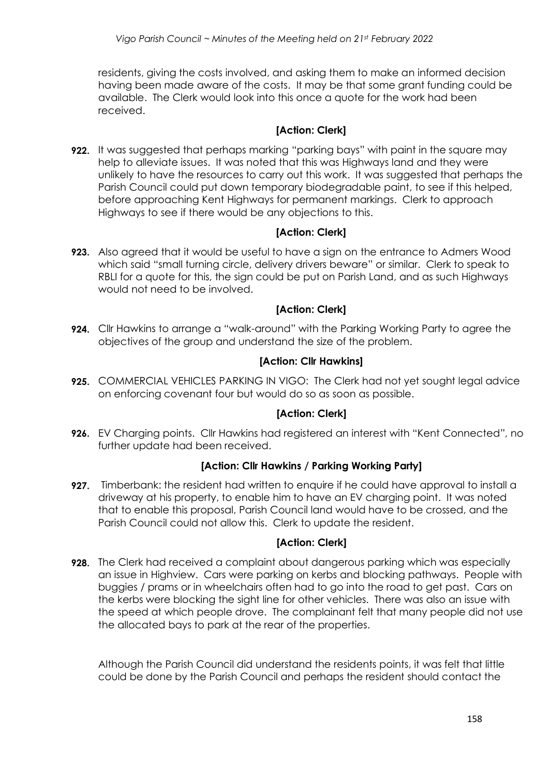residents, giving the costs involved, and asking them to make an informed decision having been made aware of the costs. It may be that some grant funding could be available. The Clerk would look into this once a quote for the work had been received.

#### **[Action: Clerk]**

**922.** It was suggested that perhaps marking "parking bays" with paint in the square may help to alleviate issues. It was noted that this was Highways land and they were unlikely to have the resources to carry out this work. It was suggested that perhaps the Parish Council could put down temporary biodegradable paint, to see if this helped, before approaching Kent Highways for permanent markings. Clerk to approach Highways to see if there would be any objections to this.

## **[Action: Clerk]**

**923.** Also agreed that it would be useful to have a sign on the entrance to Admers Wood which said "small turning circle, delivery drivers beware" or similar. Clerk to speak to RBLI for a quote for this, the sign could be put on Parish Land, and as such Highways would not need to be involved.

#### **[Action: Clerk]**

**924.** Cllr Hawkins to arrange a "walk-around" with the Parking Working Party to agree the objectives of the group and understand the size of the problem.

## **[Action: Cllr Hawkins]**

**925.** COMMERCIAL VEHICLES PARKING IN VIGO: The Clerk had not yet sought legal advice on enforcing covenant four but would do so as soon as possible.

## **[Action: Clerk]**

**926.** EV Charging points. Cllr Hawkins had registered an interest with "Kent Connected", no further update had been received.

## **[Action: Cllr Hawkins / Parking Working Party]**

**927.** Timberbank: the resident had written to enquire if he could have approval to install a driveway at his property, to enable him to have an EV charging point. It was noted that to enable this proposal, Parish Council land would have to be crossed, and the Parish Council could not allow this. Clerk to update the resident.

## **[Action: Clerk]**

**928.** The Clerk had received a complaint about dangerous parking which was especially an issue in Highview. Cars were parking on kerbs and blocking pathways. People with buggies / prams or in wheelchairs often had to go into the road to get past. Cars on the kerbs were blocking the sight line for other vehicles. There was also an issue with the speed at which people drove. The complainant felt that many people did not use the allocated bays to park at the rear of the properties.

Although the Parish Council did understand the residents points, it was felt that little could be done by the Parish Council and perhaps the resident should contact the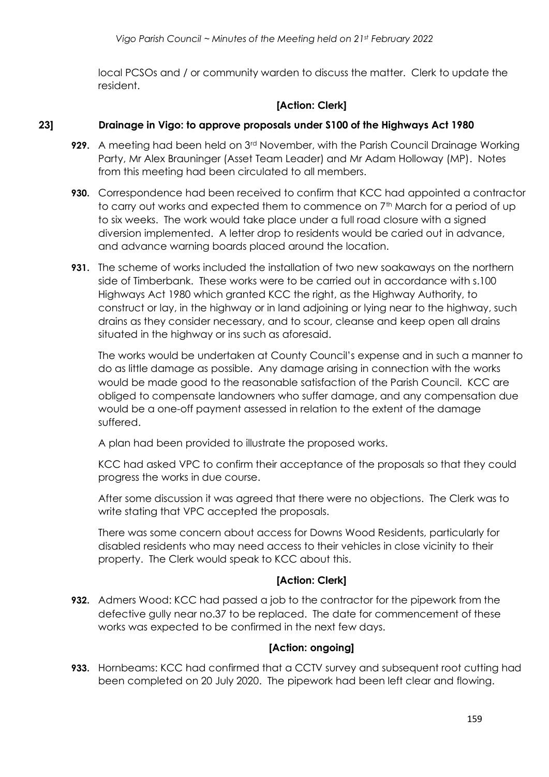local PCSOs and / or community warden to discuss the matter. Clerk to update the resident.

## **[Action: Clerk]**

## **23] Drainage in Vigo: to approve proposals under S100 of the Highways Act 1980**

- **929.** A meeting had been held on 3<sup>rd</sup> November, with the Parish Council Drainage Working Party, Mr Alex Brauninger (Asset Team Leader) and Mr Adam Holloway (MP). Notes from this meeting had been circulated to all members.
- **930.** Correspondence had been received to confirm that KCC had appointed a contractor to carry out works and expected them to commence on 7<sup>th</sup> March for a period of up to six weeks. The work would take place under a full road closure with a signed diversion implemented. A letter drop to residents would be caried out in advance, and advance warning boards placed around the location.
- **931.** The scheme of works included the installation of two new soakaways on the northern side of Timberbank. These works were to be carried out in accordance with s.100 Highways Act 1980 which granted KCC the right, as the Highway Authority, to construct or lay, in the highway or in land adjoining or lying near to the highway, such drains as they consider necessary, and to scour, cleanse and keep open all drains situated in the highway or ins such as aforesaid.

The works would be undertaken at County Council's expense and in such a manner to do as little damage as possible. Any damage arising in connection with the works would be made good to the reasonable satisfaction of the Parish Council. KCC are obliged to compensate landowners who suffer damage, and any compensation due would be a one-off payment assessed in relation to the extent of the damage suffered.

A plan had been provided to illustrate the proposed works.

KCC had asked VPC to confirm their acceptance of the proposals so that they could progress the works in due course.

After some discussion it was agreed that there were no objections. The Clerk was to write stating that VPC accepted the proposals.

There was some concern about access for Downs Wood Residents, particularly for disabled residents who may need access to their vehicles in close vicinity to their property. The Clerk would speak to KCC about this.

## **[Action: Clerk]**

**932.** Admers Wood: KCC had passed a job to the contractor for the pipework from the defective gully near no.37 to be replaced. The date for commencement of these works was expected to be confirmed in the next few days.

## **[Action: ongoing]**

**933.** Hornbeams: KCC had confirmed that a CCTV survey and subsequent root cutting had been completed on 20 July 2020. The pipework had been left clear and flowing.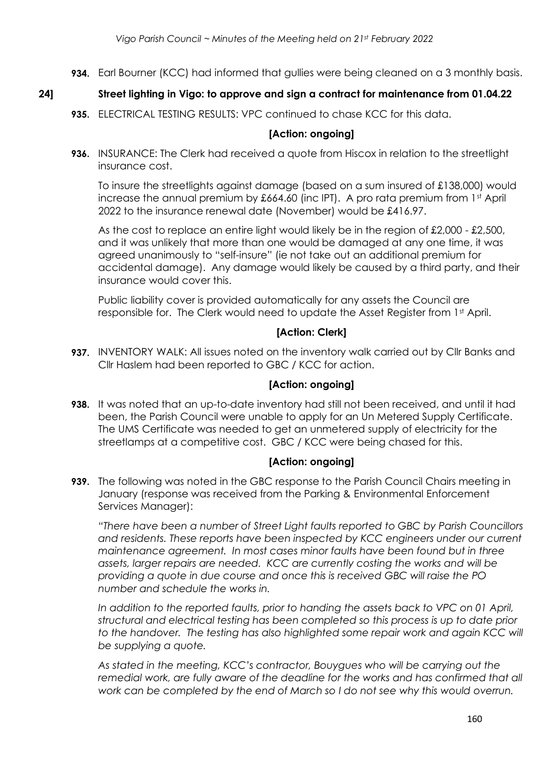**934.** Earl Bourner (KCC) had informed that gullies were being cleaned on a 3 monthly basis.

## **24] Street lighting in Vigo: to approve and sign a contract for maintenance from 01.04.22**

**935.** ELECTRICAL TESTING RESULTS: VPC continued to chase KCC for this data.

#### **[Action: ongoing]**

**936.** INSURANCE: The Clerk had received a quote from Hiscox in relation to the streetlight insurance cost.

To insure the streetlights against damage (based on a sum insured of £138,000) would increase the annual premium by £664.60 (inc IPT). A pro rata premium from 1<sup>st</sup> April 2022 to the insurance renewal date (November) would be £416.97.

As the cost to replace an entire light would likely be in the region of £2,000 - £2,500, and it was unlikely that more than one would be damaged at any one time, it was agreed unanimously to "self-insure" (ie not take out an additional premium for accidental damage). Any damage would likely be caused by a third party, and their insurance would cover this.

Public liability cover is provided automatically for any assets the Council are responsible for. The Clerk would need to update the Asset Register from 1st April.

#### **[Action: Clerk]**

**937.** INVENTORY WALK: All issues noted on the inventory walk carried out by Cllr Banks and Cllr Haslem had been reported to GBC / KCC for action.

#### **[Action: ongoing]**

**938.** It was noted that an up-to-date inventory had still not been received, and until it had been, the Parish Council were unable to apply for an Un Metered Supply Certificate. The UMS Certificate was needed to get an unmetered supply of electricity for the streetlamps at a competitive cost. GBC / KCC were being chased for this.

#### **[Action: ongoing]**

**939.** The following was noted in the GBC response to the Parish Council Chairs meeting in January (response was received from the Parking & Environmental Enforcement Services Manager):

*"There have been a number of Street Light faults reported to GBC by Parish Councillors and residents. These reports have been inspected by KCC engineers under our current maintenance agreement. In most cases minor faults have been found but in three assets, larger repairs are needed. KCC are currently costing the works and will be providing a quote in due course and once this is received GBC will raise the PO number and schedule the works in.*

*In addition to the reported faults, prior to handing the assets back to VPC on 01 April, structural and electrical testing has been completed so this process is up to date prior*  to the handover. The testing has also highlighted some repair work and again KCC will *be supplying a quote.*

*As stated in the meeting, KCC's contractor, Bouygues who will be carrying out the remedial work, are fully aware of the deadline for the works and has confirmed that all work can be completed by the end of March so I do not see why this would overrun.*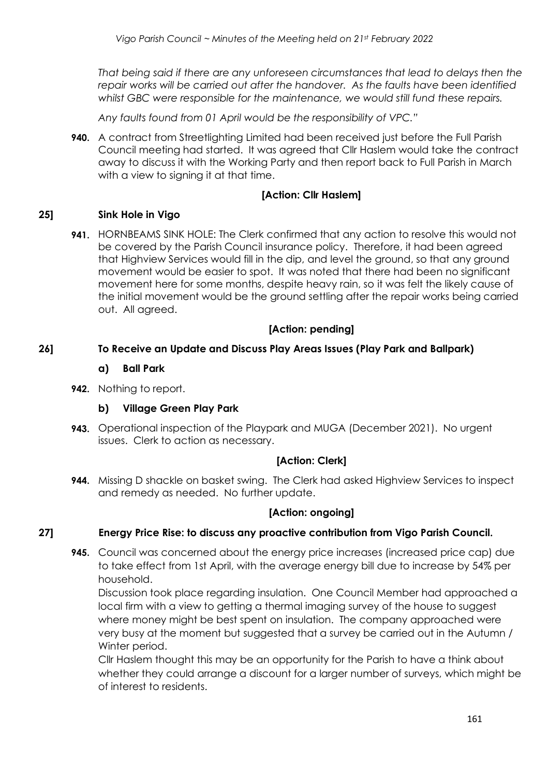*That being said if there are any unforeseen circumstances that lead to delays then the repair works will be carried out after the handover. As the faults have been identified whilst GBC were responsible for the maintenance, we would still fund these repairs.*

*Any faults found from 01 April would be the responsibility of VPC."*

**940.** A contract from Streetlighting Limited had been received just before the Full Parish Council meeting had started. It was agreed that Cllr Haslem would take the contract away to discuss it with the Working Party and then report back to Full Parish in March with a view to signing it at that time.

## **[Action: Cllr Haslem]**

## **25] Sink Hole in Vigo**

**941.** HORNBEAMS SINK HOLE: The Clerk confirmed that any action to resolve this would not be covered by the Parish Council insurance policy. Therefore, it had been agreed that Highview Services would fill in the dip, and level the ground, so that any ground movement would be easier to spot. It was noted that there had been no significant movement here for some months, despite heavy rain, so it was felt the likely cause of the initial movement would be the ground settling after the repair works being carried out. All agreed.

## **[Action: pending]**

## **26] To Receive an Update and Discuss Play Areas Issues (Play Park and Ballpark)**

## **a) Ball Park**

**942.** Nothing to report.

## **b) Village Green Play Park**

**943.** Operational inspection of the Playpark and MUGA (December 2021). No urgent issues. Clerk to action as necessary.

## **[Action: Clerk]**

**944.** Missing D shackle on basket swing. The Clerk had asked Highview Services to inspect and remedy as needed. No further update.

## **[Action: ongoing]**

## **27] Energy Price Rise: to discuss any proactive contribution from Vigo Parish Council.**

**945.** Council was concerned about the energy price increases (increased price cap) due to take effect from 1st April, with the average energy bill due to increase by 54% per household.

Discussion took place regarding insulation. One Council Member had approached a local firm with a view to getting a thermal imaging survey of the house to suggest where money might be best spent on insulation. The company approached were very busy at the moment but suggested that a survey be carried out in the Autumn / Winter period.

Cllr Haslem thought this may be an opportunity for the Parish to have a think about whether they could arrange a discount for a larger number of surveys, which might be of interest to residents.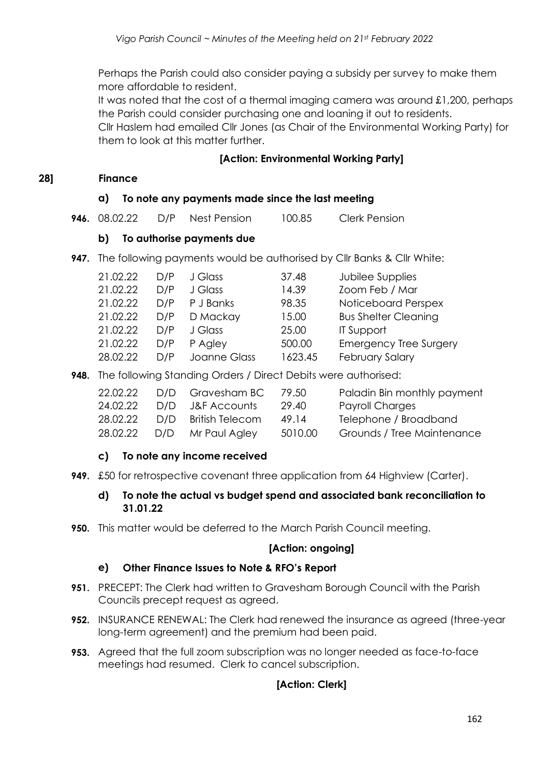Perhaps the Parish could also consider paying a subsidy per survey to make them more affordable to resident.

It was noted that the cost of a thermal imaging camera was around £1,200, perhaps the Parish could consider purchasing one and loaning it out to residents.

Cllr Haslem had emailed Cllr Jones (as Chair of the Environmental Working Party) for them to look at this matter further.

#### **[Action: Environmental Working Party]**

#### **28] Finance**

#### **a) To note any payments made since the last meeting**

|  | <b>946.</b> 08.02.22 | D/P | Nest Pension | 100.85 | <b>Clerk Pension</b> |
|--|----------------------|-----|--------------|--------|----------------------|
|--|----------------------|-----|--------------|--------|----------------------|

#### **b) To authorise payments due**

**947.** The following payments would be authorised by Cllr Banks & Cllr White:

| D/P | J Glass      | 37.48   | Jubilee Supplies              |
|-----|--------------|---------|-------------------------------|
| D/P | J Glass      | 14.39   | Zoom Feb / Mar                |
| D/P | P J Banks    | 98.35   | Noticeboard Perspex           |
| D/P | D Mackay     | 15.00   | <b>Bus Shelter Cleaning</b>   |
| D/P | J Glass      | 25.00   | <b>IT Support</b>             |
| D/P | P Agley      | 500.00  | <b>Emergency Tree Surgery</b> |
| D/P | Joanne Glass | 1623.45 | <b>February Salary</b>        |
|     |              |         |                               |

**948.** The following Standing Orders / Direct Debits were authorised:

|  | 79.50                                                                            | Paladin Bin monthly payment |
|--|----------------------------------------------------------------------------------|-----------------------------|
|  | 29.40                                                                            | Payroll Charges             |
|  | 49.14                                                                            | Telephone / Broadband       |
|  | 5010.00                                                                          | Grounds / Tree Maintenance  |
|  | D/D Gravesham BC<br>D/D J&F Accounts<br>D/D British Telecom<br>D/D Mr Paul Agley |                             |

#### **c) To note any income received**

**949.** £50 for retrospective covenant three application from 64 Highview (Carter).

#### **d) To note the actual vs budget spend and associated bank reconciliation to 31.01.22**

**950.** This matter would be deferred to the March Parish Council meeting.

#### **[Action: ongoing]**

## **e) Other Finance Issues to Note & RFO's Report**

- **951.** PRECEPT: The Clerk had written to Gravesham Borough Council with the Parish Councils precept request as agreed.
- **952.** INSURANCE RENEWAL: The Clerk had renewed the insurance as agreed (three-year long-term agreement) and the premium had been paid.
- **953.** Agreed that the full zoom subscription was no longer needed as face-to-face meetings had resumed. Clerk to cancel subscription.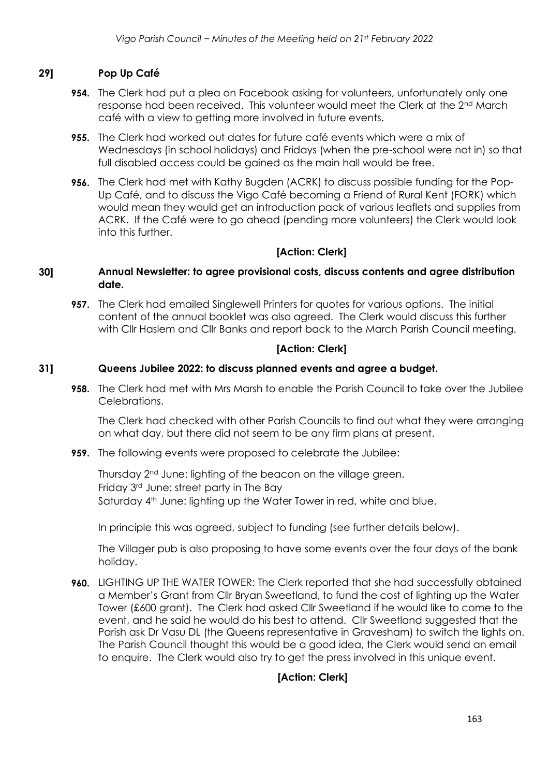## **29] Pop Up Café**

- **954.** The Clerk had put a plea on Facebook asking for volunteers, unfortunately only one response had been received. This volunteer would meet the Clerk at the 2nd March café with a view to getting more involved in future events.
- **955.** The Clerk had worked out dates for future café events which were a mix of Wednesdays (in school holidays) and Fridays (when the pre-school were not in) so that full disabled access could be gained as the main hall would be free.
- **956.** The Clerk had met with Kathy Bugden (ACRK) to discuss possible funding for the Pop-Up Café, and to discuss the Vigo Café becoming a Friend of Rural Kent (FORK) which would mean they would get an introduction pack of various leaflets and supplies from ACRK. If the Café were to go ahead (pending more volunteers) the Clerk would look into this further.

## **[Action: Clerk]**

- **30] Annual Newsletter: to agree provisional costs, discuss contents and agree distribution date.**
	- **957.** The Clerk had emailed Singlewell Printers for quotes for various options. The initial content of the annual booklet was also agreed. The Clerk would discuss this further with Cllr Haslem and Cllr Banks and report back to the March Parish Council meeting.

## **[Action: Clerk]**

#### **31] Queens Jubilee 2022: to discuss planned events and agree a budget.**

**958.** The Clerk had met with Mrs Marsh to enable the Parish Council to take over the Jubilee Celebrations.

The Clerk had checked with other Parish Councils to find out what they were arranging on what day, but there did not seem to be any firm plans at present.

**959.** The following events were proposed to celebrate the Jubilee:

Thursday 2nd June: lighting of the beacon on the village green. Friday 3rd June: street party in The Bay Saturday 4<sup>th</sup> June: lighting up the Water Tower in red, white and blue.

In principle this was agreed, subject to funding (see further details below).

The Villager pub is also proposing to have some events over the four days of the bank holiday.

**960.** LIGHTING UP THE WATER TOWER: The Clerk reported that she had successfully obtained a Member's Grant from Cllr Bryan Sweetland, to fund the cost of lighting up the Water Tower (£600 grant). The Clerk had asked Cllr Sweetland if he would like to come to the event, and he said he would do his best to attend. Cllr Sweetland suggested that the Parish ask Dr Vasu DL (the Queens representative in Gravesham) to switch the lights on. The Parish Council thought this would be a good idea, the Clerk would send an email to enquire. The Clerk would also try to get the press involved in this unique event.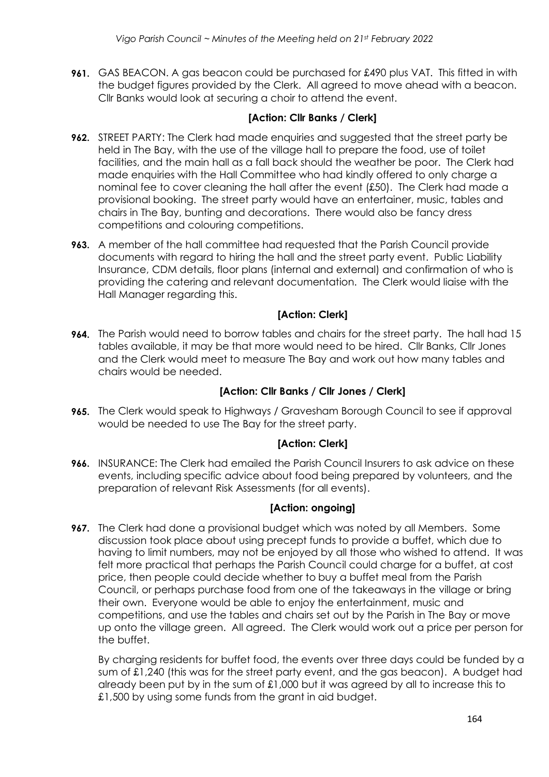**961.** GAS BEACON. A gas beacon could be purchased for £490 plus VAT. This fitted in with the budget figures provided by the Clerk. All agreed to move ahead with a beacon. Cllr Banks would look at securing a choir to attend the event.

## **[Action: Cllr Banks / Clerk]**

- **962.** STREET PARTY: The Clerk had made enquiries and suggested that the street party be held in The Bay, with the use of the village hall to prepare the food, use of toilet facilities, and the main hall as a fall back should the weather be poor. The Clerk had made enquiries with the Hall Committee who had kindly offered to only charge a nominal fee to cover cleaning the hall after the event (£50). The Clerk had made a provisional booking. The street party would have an entertainer, music, tables and chairs in The Bay, bunting and decorations. There would also be fancy dress competitions and colouring competitions.
- **963.** A member of the hall committee had requested that the Parish Council provide documents with regard to hiring the hall and the street party event. Public Liability Insurance, CDM details, floor plans (internal and external) and confirmation of who is providing the catering and relevant documentation. The Clerk would liaise with the Hall Manager regarding this.

# **[Action: Clerk]**

**964.** The Parish would need to borrow tables and chairs for the street party. The hall had 15 tables available, it may be that more would need to be hired. Cllr Banks, Cllr Jones and the Clerk would meet to measure The Bay and work out how many tables and chairs would be needed.

## **[Action: Cllr Banks / Cllr Jones / Clerk]**

**965.** The Clerk would speak to Highways / Gravesham Borough Council to see if approval would be needed to use The Bay for the street party.

## **[Action: Clerk]**

**966.** INSURANCE: The Clerk had emailed the Parish Council Insurers to ask advice on these events, including specific advice about food being prepared by volunteers, and the preparation of relevant Risk Assessments (for all events).

## **[Action: ongoing]**

**967.** The Clerk had done a provisional budget which was noted by all Members. Some discussion took place about using precept funds to provide a buffet, which due to having to limit numbers, may not be enjoyed by all those who wished to attend. It was felt more practical that perhaps the Parish Council could charge for a buffet, at cost price, then people could decide whether to buy a buffet meal from the Parish Council, or perhaps purchase food from one of the takeaways in the village or bring their own. Everyone would be able to enjoy the entertainment, music and competitions, and use the tables and chairs set out by the Parish in The Bay or move up onto the village green. All agreed. The Clerk would work out a price per person for the buffet.

By charging residents for buffet food, the events over three days could be funded by a sum of £1,240 (this was for the street party event, and the gas beacon). A budget had already been put by in the sum of £1,000 but it was agreed by all to increase this to £1,500 by using some funds from the grant in aid budget.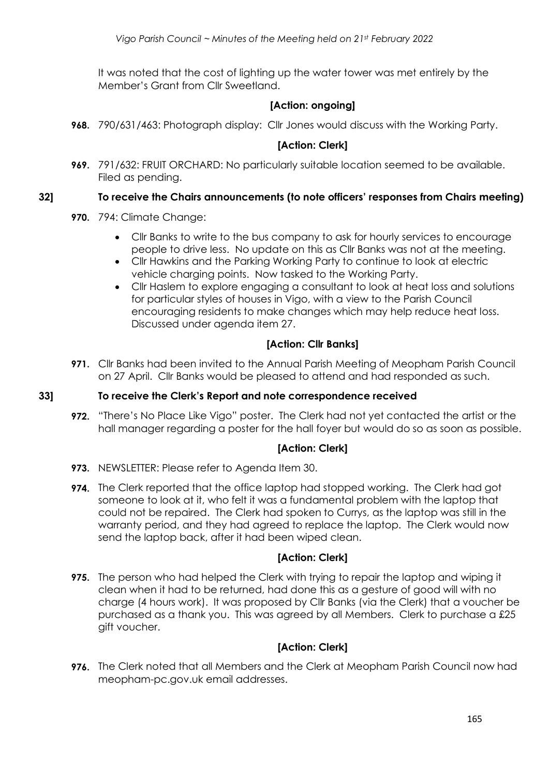It was noted that the cost of lighting up the water tower was met entirely by the Member's Grant from Cllr Sweetland.

## **[Action: ongoing]**

**968.** 790/631/463: Photograph display: Cllr Jones would discuss with the Working Party.

## **[Action: Clerk]**

**969.** 791/632: FRUIT ORCHARD: No particularly suitable location seemed to be available. Filed as pending.

#### **32] To receive the Chairs announcements (to note officers' responses from Chairs meeting)**

- **970.** 794: Climate Change:
	- Cllr Banks to write to the bus company to ask for hourly services to encourage people to drive less. No update on this as Cllr Banks was not at the meeting.
	- Cllr Hawkins and the Parking Working Party to continue to look at electric vehicle charging points. Now tasked to the Working Party.
	- Cllr Haslem to explore engaging a consultant to look at heat loss and solutions for particular styles of houses in Vigo, with a view to the Parish Council encouraging residents to make changes which may help reduce heat loss. Discussed under agenda item 27.

## **[Action: Cllr Banks]**

**971.** Cllr Banks had been invited to the Annual Parish Meeting of Meopham Parish Council on 27 April. Cllr Banks would be pleased to attend and had responded as such.

#### **33] To receive the Clerk's Report and note correspondence received**

**972.** "There's No Place Like Vigo" poster. The Clerk had not yet contacted the artist or the hall manager regarding a poster for the hall foyer but would do so as soon as possible.

## **[Action: Clerk]**

- **973.** NEWSLETTER: Please refer to Agenda Item 30.
- **974.** The Clerk reported that the office laptop had stopped working. The Clerk had got someone to look at it, who felt it was a fundamental problem with the laptop that could not be repaired. The Clerk had spoken to Currys, as the laptop was still in the warranty period, and they had agreed to replace the laptop. The Clerk would now send the laptop back, after it had been wiped clean.

## **[Action: Clerk]**

**975.** The person who had helped the Clerk with trying to repair the laptop and wiping it clean when it had to be returned, had done this as a gesture of good will with no charge (4 hours work). It was proposed by Cllr Banks (via the Clerk) that a voucher be purchased as a thank you. This was agreed by all Members. Clerk to purchase a £25 gift voucher.

## **[Action: Clerk]**

**976.** The Clerk noted that all Members and the Clerk at Meopham Parish Council now had meopham-pc.gov.uk email addresses.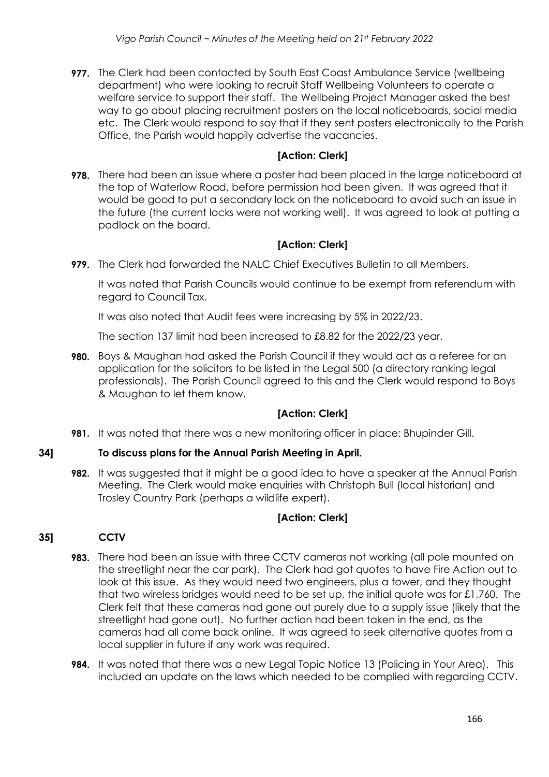**977.** The Clerk had been contacted by South East Coast Ambulance Service (wellbeing department) who were looking to recruit Staff Wellbeing Volunteers to operate a welfare service to support their staff. The Wellbeing Project Manager asked the best way to go about placing recruitment posters on the local noticeboards, social media etc. The Clerk would respond to say that if they sent posters electronically to the Parish Office, the Parish would happily advertise the vacancies.

## **[Action: Clerk]**

**978.** There had been an issue where a poster had been placed in the large noticeboard at the top of Waterlow Road, before permission had been given. It was agreed that it would be good to put a secondary lock on the noticeboard to avoid such an issue in the future (the current locks were not working well). It was agreed to look at putting a padlock on the board.

# **[Action: Clerk]**

**979.** The Clerk had forwarded the NALC Chief Executives Bulletin to all Members.

It was noted that Parish Councils would continue to be exempt from referendum with regard to Council Tax.

It was also noted that Audit fees were increasing by 5% in 2022/23.

The section 137 limit had been increased to £8.82 for the 2022/23 year.

**980.** Boys & Maughan had asked the Parish Council if they would act as a referee for an application for the solicitors to be listed in the Legal 500 (a directory ranking legal professionals). The Parish Council agreed to this and the Clerk would respond to Boys & Maughan to let them know.

# **[Action: Clerk]**

**981.** It was noted that there was a new monitoring officer in place: Bhupinder Gill.

# **34] To discuss plans for the Annual Parish Meeting in April.**

**982.** It was suggested that it might be a good idea to have a speaker at the Annual Parish Meeting. The Clerk would make enquiries with Christoph Bull (local historian) and Trosley Country Park (perhaps a wildlife expert).

# **[Action: Clerk]**

# **35] CCTV**

- **983.** There had been an issue with three CCTV cameras not working (all pole mounted on the streetlight near the car park). The Clerk had got quotes to have Fire Action out to look at this issue. As they would need two engineers, plus a tower, and they thought that two wireless bridges would need to be set up, the initial quote was for £1,760. The Clerk felt that these cameras had gone out purely due to a supply issue (likely that the streetlight had gone out). No further action had been taken in the end, as the cameras had all come back online. It was agreed to seek alternative quotes from a local supplier in future if any work was required.
- **984.** It was noted that there was a new Legal Topic Notice 13 (Policing in Your Area). This included an update on the laws which needed to be complied with regarding CCTV.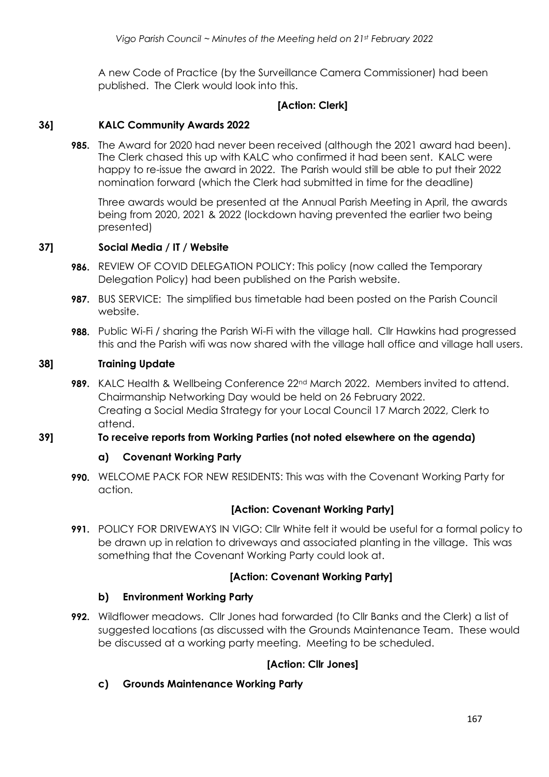A new Code of Practice (by the Surveillance Camera Commissioner) had been published. The Clerk would look into this.

## **[Action: Clerk]**

#### **36] KALC Community Awards 2022**

**985.** The Award for 2020 had never been received (although the 2021 award had been). The Clerk chased this up with KALC who confirmed it had been sent. KALC were happy to re-issue the award in 2022. The Parish would still be able to put their 2022 nomination forward (which the Clerk had submitted in time for the deadline)

Three awards would be presented at the Annual Parish Meeting in April, the awards being from 2020, 2021 & 2022 (lockdown having prevented the earlier two being presented)

#### **37] Social Media / IT / Website**

- **986.** REVIEW OF COVID DELEGATION POLICY: This policy (now called the Temporary Delegation Policy) had been published on the Parish website.
- **987.** BUS SERVICE: The simplified bus timetable had been posted on the Parish Council website.
- **988.** Public Wi-Fi / sharing the Parish Wi-Fi with the village hall. Cllr Hawkins had progressed this and the Parish wifi was now shared with the village hall office and village hall users.

#### **38] Training Update**

**989.** KALC Health & Wellbeing Conference 22<sup>nd</sup> March 2022. Members invited to attend. Chairmanship Networking Day would be held on 26 February 2022. Creating a Social Media Strategy for your Local Council 17 March 2022, Clerk to attend.

#### **39] To receive reports from Working Parties (not noted elsewhere on the agenda)**

## **a) Covenant Working Party**

**990.** WELCOME PACK FOR NEW RESIDENTS: This was with the Covenant Working Party for action.

## **[Action: Covenant Working Party]**

**991.** POLICY FOR DRIVEWAYS IN VIGO: Cllr White felt it would be useful for a formal policy to be drawn up in relation to driveways and associated planting in the village. This was something that the Covenant Working Party could look at.

## **[Action: Covenant Working Party]**

## **b) Environment Working Party**

**992.** Wildflower meadows. Cllr Jones had forwarded (to Cllr Banks and the Clerk) a list of suggested locations (as discussed with the Grounds Maintenance Team. These would be discussed at a working party meeting. Meeting to be scheduled.

## **[Action: Cllr Jones]**

**c) Grounds Maintenance Working Party**